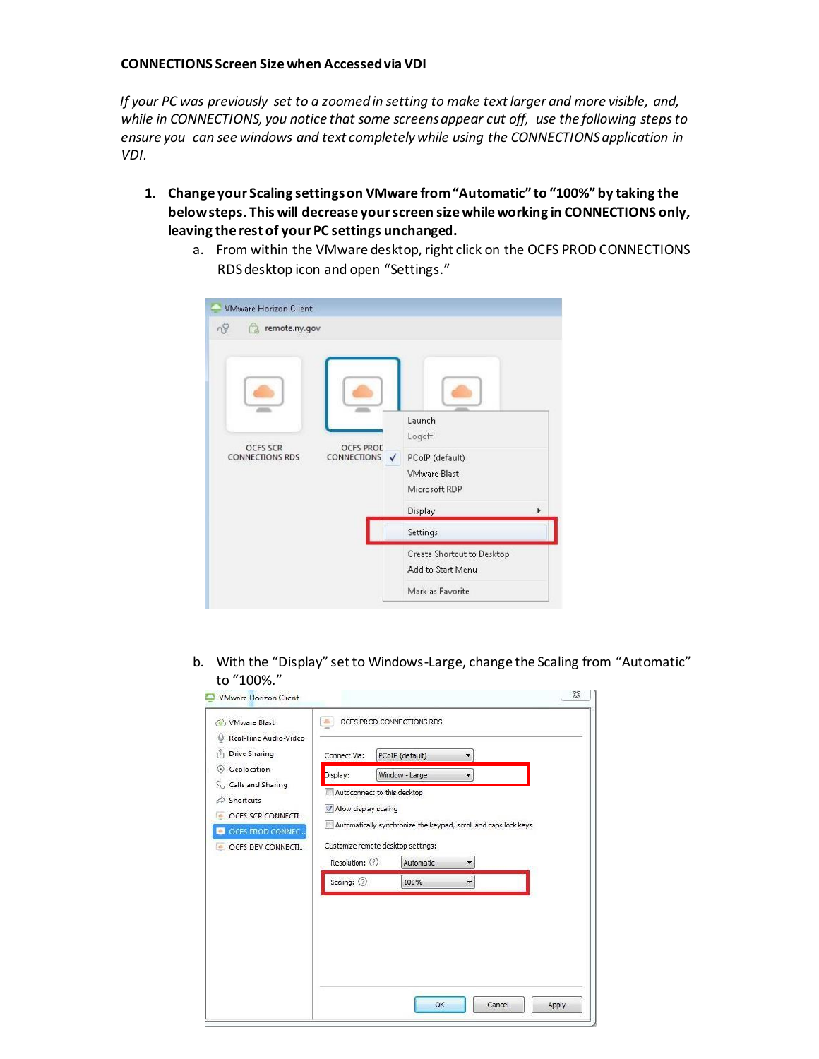## **CONNECTIONS Screen Size when Accessed via VDI**

*If your PC was previously set to a zoomed in setting to make text larger and more visible, and, while in CONNECTIONS, you notice that some screens appear cut off, use the following steps to ensure you can see windows and text completely while using the CONNECTIONS application in VDI.* 

- **1. Change your Scaling settings on VMware from "Automatic" to "100%" by taking the below steps. This will decrease your screen size while working in CONNECTIONS only, leaving the rest of your PC settings unchanged.** 
	- a. From within the VMware desktop, right click on the OCFS PROD CONNECTIONS RDS desktop icon and open "Settings."

| <b>VMware Horizon Client</b>       |                                             |                                                                   |   |
|------------------------------------|---------------------------------------------|-------------------------------------------------------------------|---|
| nÿ<br>remote.ny.gov                |                                             | Launch                                                            |   |
| OCFS SCR<br><b>CONNECTIONS RDS</b> | <b>OCFS PROD</b><br><b>CONNECTIONS</b><br>✓ | Logoff<br>PCoIP (default)<br><b>VMware Blast</b><br>Microsoft RDP |   |
|                                    |                                             | Display                                                           | ¥ |
|                                    |                                             | Settings                                                          |   |
|                                    |                                             | Create Shortcut to Desktop<br>Add to Start Menu                   |   |
|                                    |                                             | Mark as Favorite                                                  |   |

b. With the "Display" set to Windows-Large, change the Scaling from "Automatic" to "100%."

| Real-Time Audio-Video                                                  |                                                                                                                           |                                    |  |  |
|------------------------------------------------------------------------|---------------------------------------------------------------------------------------------------------------------------|------------------------------------|--|--|
| Drive Sharing<br>r۱                                                    | Connect Via:                                                                                                              | PCoIP (default)<br>۰               |  |  |
| Geolocation<br>$(\cdot)$                                               | Display:                                                                                                                  | Window - Large                     |  |  |
| Calls and Sharing<br>Shortcuts<br>€<br><b>OCFS SCR CONNECTI</b><br>in. | Autoconnect to this desktop<br>V Allow display scaling<br>Automatically synchronize the keypad, scroll and caps lock keys |                                    |  |  |
| OCFS PROD CONNEC<br>OCFS DEV CONNECTI<br>a.                            |                                                                                                                           | Customize remote desktop settings: |  |  |
|                                                                        | Resolution: 2                                                                                                             | Automatic<br>▼                     |  |  |
|                                                                        | Scaling: 2                                                                                                                | 100%<br>۰                          |  |  |
|                                                                        |                                                                                                                           |                                    |  |  |
|                                                                        |                                                                                                                           |                                    |  |  |
|                                                                        |                                                                                                                           |                                    |  |  |